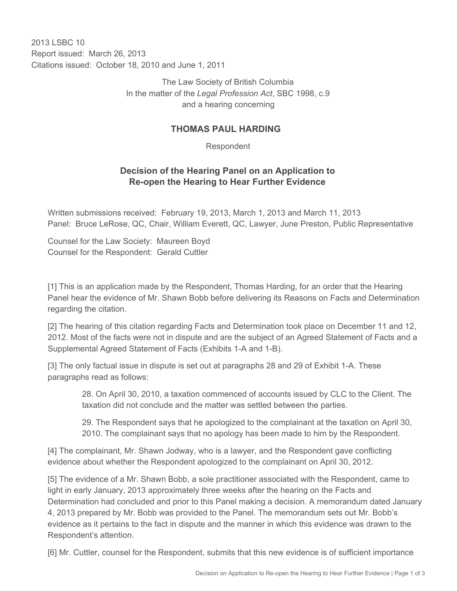2013 LSBC 10 Report issued: March 26, 2013 Citations issued: October 18, 2010 and June 1, 2011

> The Law Society of British Columbia In the matter of the *Legal Profession Act*, SBC 1998, c.9 and a hearing concerning

## **THOMAS PAUL HARDING**

Respondent

## **Decision of the Hearing Panel on an Application to Re-open the Hearing to Hear Further Evidence**

Written submissions received: February 19, 2013, March 1, 2013 and March 11, 2013 Panel: Bruce LeRose, QC, Chair, William Everett, QC, Lawyer, June Preston, Public Representative

Counsel for the Law Society: Maureen Boyd Counsel for the Respondent: Gerald Cuttler

[1] This is an application made by the Respondent, Thomas Harding, for an order that the Hearing Panel hear the evidence of Mr. Shawn Bobb before delivering its Reasons on Facts and Determination regarding the citation.

[2] The hearing of this citation regarding Facts and Determination took place on December 11 and 12, 2012. Most of the facts were not in dispute and are the subject of an Agreed Statement of Facts and a Supplemental Agreed Statement of Facts (Exhibits 1-A and 1-B).

[3] The only factual issue in dispute is set out at paragraphs 28 and 29 of Exhibit 1-A. These paragraphs read as follows:

> 28. On April 30, 2010, a taxation commenced of accounts issued by CLC to the Client. The taxation did not conclude and the matter was settled between the parties.

> 29. The Respondent says that he apologized to the complainant at the taxation on April 30, 2010. The complainant says that no apology has been made to him by the Respondent.

[4] The complainant, Mr. Shawn Jodway, who is a lawyer, and the Respondent gave conflicting evidence about whether the Respondent apologized to the complainant on April 30, 2012.

[5] The evidence of a Mr. Shawn Bobb, a sole practitioner associated with the Respondent, came to light in early January, 2013 approximately three weeks after the hearing on the Facts and Determination had concluded and prior to this Panel making a decision. A memorandum dated January 4, 2013 prepared by Mr. Bobb was provided to the Panel. The memorandum sets out Mr. Bobb's evidence as it pertains to the fact in dispute and the manner in which this evidence was drawn to the Respondent's attention.

[6] Mr. Cuttler, counsel for the Respondent, submits that this new evidence is of sufficient importance